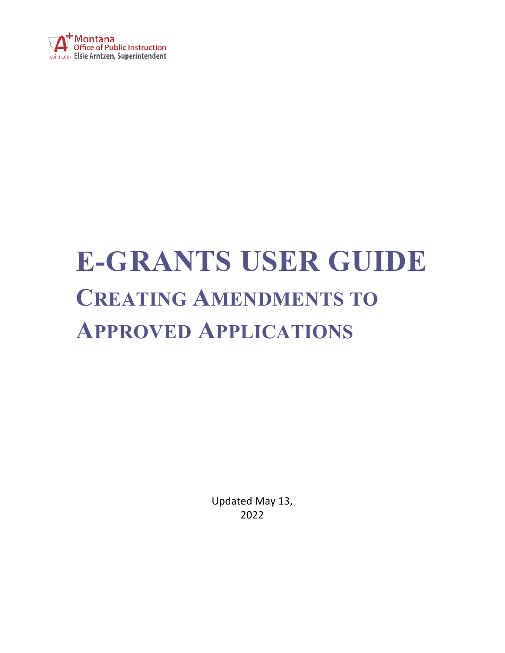

## **E-GRANTS USER GUIDE CREATING AMENDMENTS TO APPROVED APPLICATIONS**

Updated May 13, 2022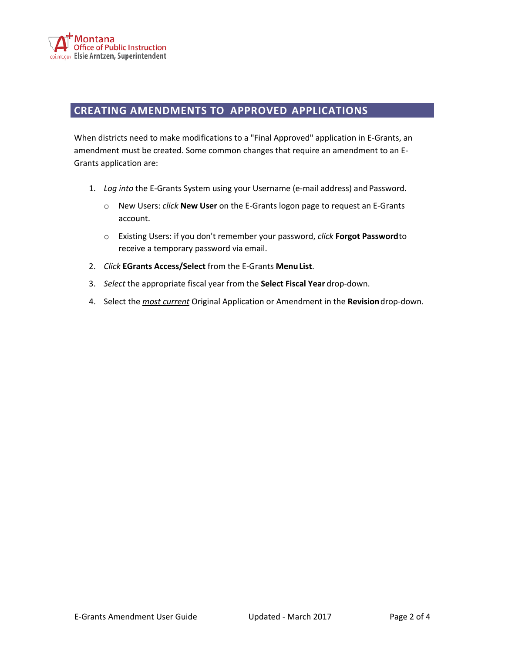

## **CREATING AMENDMENTS TO APPROVED APPLICATIONS**

When districts need to make modifications to a "Final Approved" application in E-Grants, an amendment must be created. Some common changes that require an amendment to an E-Grants application are:

- 1. *Log into* the E-Grants System using your Username (e-mail address) and Password.
	- o New Users: *click* **New User** on the E-Grants logon page to request an E-Grants account.
	- o Existing Users: if you don't remember your password, *click* **Forgot Password**to receive a temporary password via email.
- 2. *Click* **EGrants Access/Select** from the E-Grants **MenuList**.
- 3. *Select* the appropriate fiscal year from the **Select Fiscal Year** drop-down.
- 4. Select the *most current* Original Application or Amendment in the **Revision**drop-down.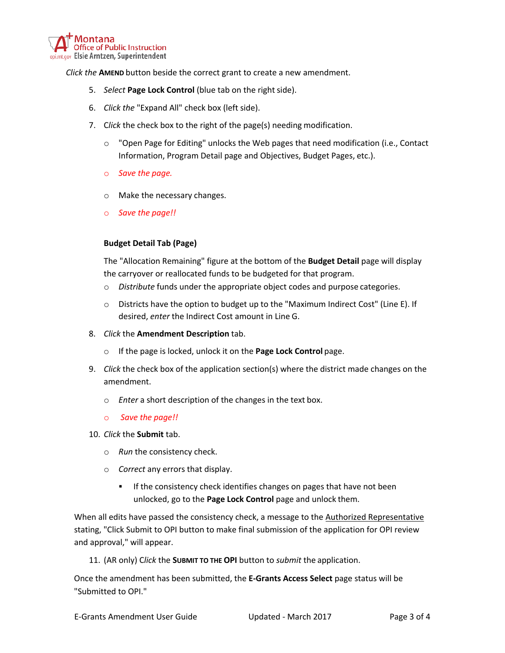

*Click the* **AMEND** button beside the correct grant to create a new amendment.

- 5. *Select* Page Lock Control (blue tab on the right side).
- 6. *Click the* "Expand All" check box (left side).
- 7. C*lick* the check box to the right of the page(s) needing modification.
	- $\circ$  "Open Page for Editing" unlocks the Web pages that need modification (i.e., Contact Information, Program Detail page and Objectives, Budget Pages, etc.).
	- o *Save the page.*
	- o Make the necessary changes.
	- o *Save the page!!*

## **Budget Detail Tab (Page)**

The "Allocation Remaining" figure at the bottom of the **Budget Detail** page will display the carryover or reallocated funds to be budgeted for that program.

- o *Distribute* funds under the appropriate object codes and purpose categories.
- o Districts have the option to budget up to the "Maximum Indirect Cost" (Line E). If desired, *enter* the Indirect Cost amount in Line G.
- 8. *Click* the **Amendment Description** tab.
	- o If the page is locked, unlock it on the **Page Lock Control** page.
- 9. *Click* the check box of the application section(s) where the district made changes on the amendment.
	- o *Enter* a short description of the changes in the text box.
	- o *Save the page!!*
- 10. *Click* the **Submit** tab.
	- o *Run* the consistency check.
	- o *Correct* any errors that display.
		- If the consistency check identifies changes on pages that have not been unlocked, go to the **Page Lock Control** page and unlock them.

When all edits have passed the consistency check, a message to the Authorized Representative stating, "Click Submit to OPI button to make final submission of the application for OPI review and approval," will appear.

11. (AR only) C*lick* the **SUBMIT TO THE OPI** button to *submit* the application.

Once the amendment has been submitted, the **E-Grants Access Select** page status will be "Submitted to OPI."